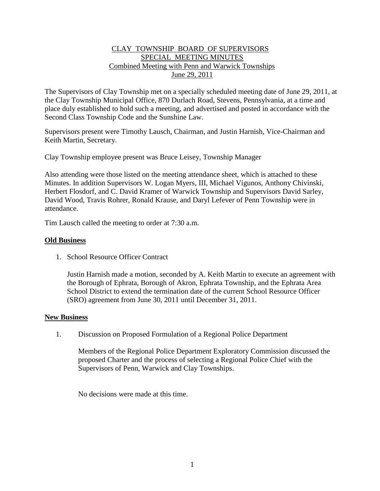## CLAY TOWNSHIP BOARD OF SUPERVISORS SPECIAL MEETING MINUTES Combined Meeting with Penn and Warwick Townships June 29, 2011

The Supervisors of Clay Township met on a specially scheduled meeting date of June 29, 2011, at the Clay Township Municipal Office, 870 Durlach Road, Stevens, Pennsylvania, at a time and place duly established to hold such a meeting, and advertised and posted in accordance with the Second Class Township Code and the Sunshine Law.

Supervisors present were Timothy Lausch, Chairman, and Justin Harnish, Vice-Chairman and Keith Martin, Secretary.

Clay Township employee present was Bruce Leisey, Township Manager

Also attending were those listed on the meeting attendance sheet, which is attached to these Minutes. In addition Supervisors W. Logan Myers, III, Michael Vigunos, Anthony Chivinski, Herbert Flosdorf, and C. David Kramer of Warwick Township and Supervisors David Sarley, David Wood, Travis Rohrer, Ronald Krause, and Daryl Lefever of Penn Township were in attendance.

Tim Lausch called the meeting to order at 7:30 a.m.

## **Old Business**

1. School Resource Officer Contract

Justin Harnish made a motion, seconded by A. Keith Martin to execute an agreement with the Borough of Ephrata, Borough of Akron, Ephrata Township, and the Ephrata Area School District to extend the termination date of the current School Resource Officer (SRO) agreement from June 30, 2011 until December 31, 2011.

## **New Business**

1. Discussion on Proposed Formulation of a Regional Police Department

Members of the Regional Police Department Exploratory Commission discussed the proposed Charter and the process of selecting a Regional Police Chief with the Supervisors of Penn, Warwick and Clay Townships.

No decisions were made at this time.